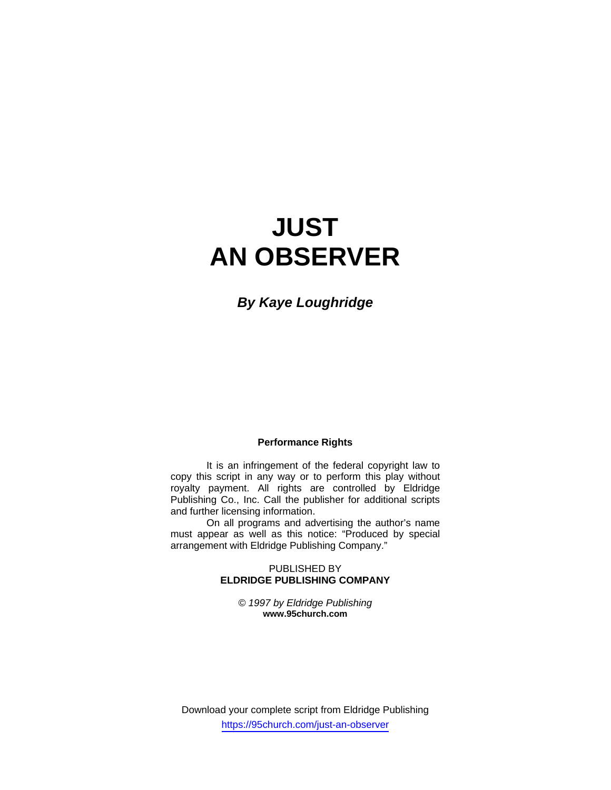# **JUST AN OBSERVER**

*By Kaye Loughridge* 

# **Performance Rights**

 It is an infringement of the federal copyright law to copy this script in any way or to perform this play without royalty payment. All rights are controlled by Eldridge Publishing Co., Inc. Call the publisher for additional scripts and further licensing information.

 On all programs and advertising the author's name must appear as well as this notice: "Produced by special arrangement with Eldridge Publishing Company."

## PUBLISHED BY **ELDRIDGE PUBLISHING COMPANY**

*© 1997 by Eldridge Publishing*  **www.95church.com** 

Download your complete script from Eldridge Publishing https://95church.com/just-an-observer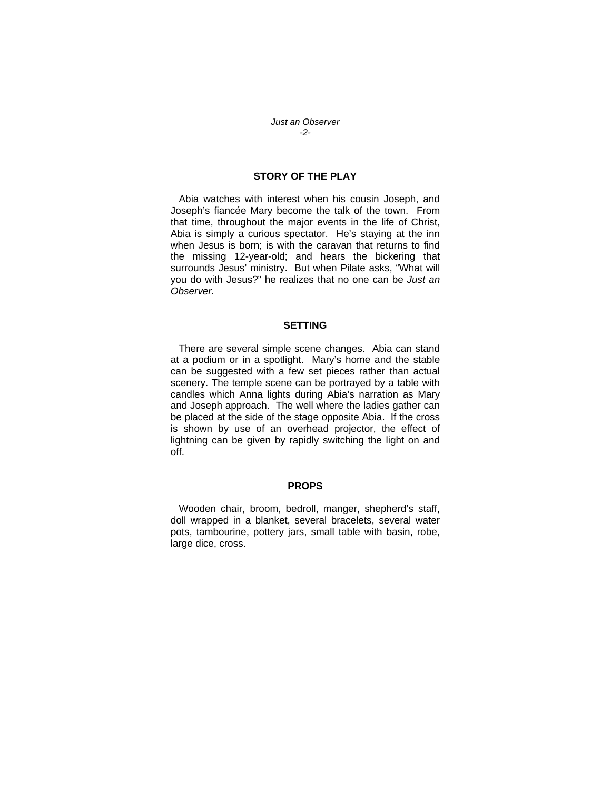*Just an Observer -2-*

# **STORY OF THE PLAY**

 Abia watches with interest when his cousin Joseph, and Joseph's fiancée Mary become the talk of the town. From that time, throughout the major events in the life of Christ, Abia is simply a curious spectator. He's staying at the inn when Jesus is born; is with the caravan that returns to find the missing 12-year-old; and hears the bickering that surrounds Jesus' ministry. But when Pilate asks, "What will you do with Jesus?" he realizes that no one can be *Just an Observer.*

## **SETTING**

 There are several simple scene changes. Abia can stand at a podium or in a spotlight. Mary's home and the stable can be suggested with a few set pieces rather than actual scenery. The temple scene can be portrayed by a table with candles which Anna lights during Abia's narration as Mary and Joseph approach. The well where the ladies gather can be placed at the side of the stage opposite Abia. If the cross is shown by use of an overhead projector, the effect of lightning can be given by rapidly switching the light on and off.

#### **PROPS**

 Wooden chair, broom, bedroll, manger, shepherd's staff, doll wrapped in a blanket, several bracelets, several water pots, tambourine, pottery jars, small table with basin, robe, large dice, cross.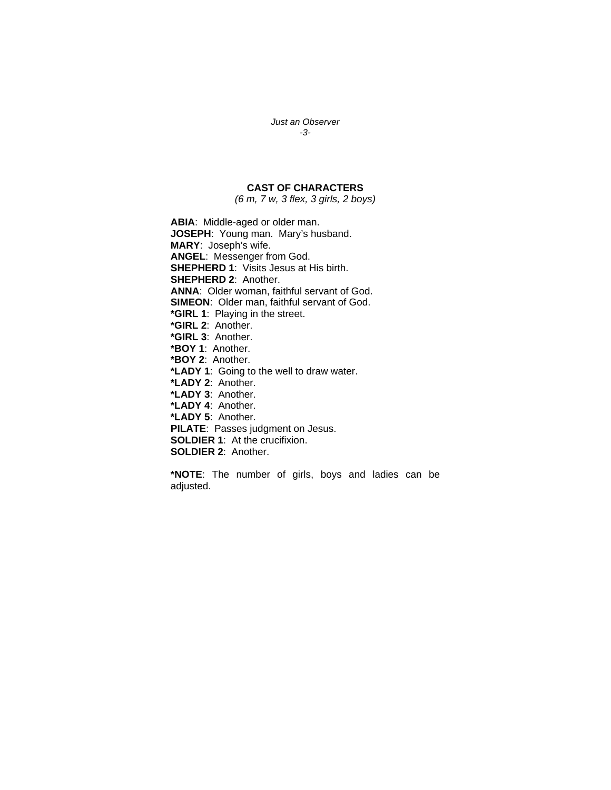## *Just an Observer -3-*

# **CAST OF CHARACTERS**

*(6 m, 7 w, 3 flex, 3 girls, 2 boys)* 

**ABIA**: Middle-aged or older man. **JOSEPH**: Young man. Mary's husband. **MARY**: Joseph's wife. **ANGEL**: Messenger from God. **SHEPHERD 1**: Visits Jesus at His birth. **SHEPHERD 2**: Another. **ANNA**: Older woman, faithful servant of God. **SIMEON**: Older man, faithful servant of God. **\*GIRL 1**: Playing in the street. **\*GIRL 2**: Another. **\*GIRL 3**: Another. **\*BOY 1**: Another. **\*BOY 2**: Another. **\*LADY 1**: Going to the well to draw water. **\*LADY 2**: Another. **\*LADY 3**: Another. **\*LADY 4**: Another. **\*LADY 5**: Another. **PILATE**: Passes judgment on Jesus. **SOLDIER 1**: At the crucifixion. **SOLDIER 2**: Another.

**\*NOTE**: The number of girls, boys and ladies can be adjusted.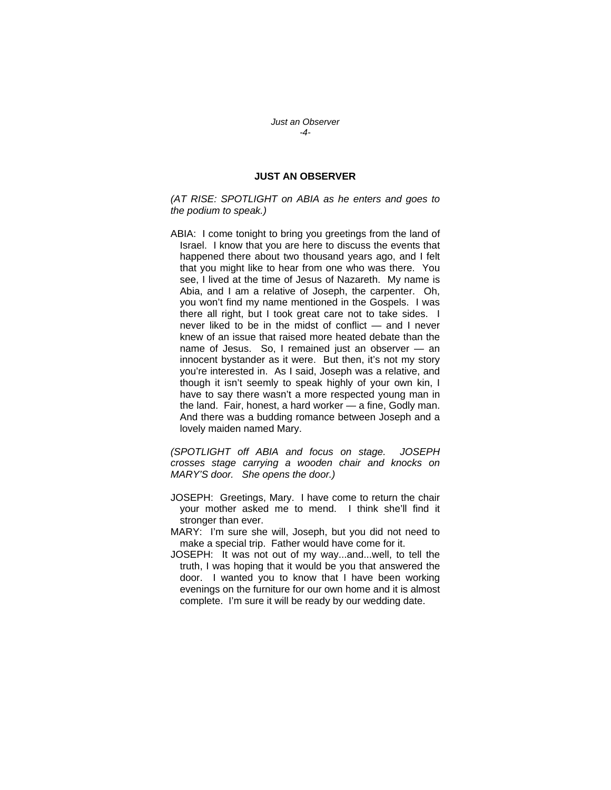*Just an Observer -4-*

# **JUST AN OBSERVER**

*(AT RISE: SPOTLIGHT on ABIA as he enters and goes to the podium to speak.)* 

ABIA: I come tonight to bring you greetings from the land of Israel. I know that you are here to discuss the events that happened there about two thousand years ago, and I felt that you might like to hear from one who was there. You see, I lived at the time of Jesus of Nazareth. My name is Abia, and I am a relative of Joseph, the carpenter. Oh, you won't find my name mentioned in the Gospels. I was there all right, but I took great care not to take sides. I never liked to be in the midst of conflict — and I never knew of an issue that raised more heated debate than the name of Jesus. So, I remained just an observer — an innocent bystander as it were. But then, it's not my story you're interested in. As I said, Joseph was a relative, and though it isn't seemly to speak highly of your own kin, I have to say there wasn't a more respected young man in the land. Fair, honest, a hard worker — a fine, Godly man. And there was a budding romance between Joseph and a lovely maiden named Mary.

*(SPOTLIGHT off ABIA and focus on stage. JOSEPH crosses stage carrying a wooden chair and knocks on MARY'S door. She opens the door.)* 

- JOSEPH: Greetings, Mary. I have come to return the chair your mother asked me to mend. I think she'll find it stronger than ever.
- MARY: I'm sure she will, Joseph, but you did not need to make a special trip. Father would have come for it.
- JOSEPH: It was not out of my way...and...well, to tell the truth, I was hoping that it would be you that answered the door. I wanted you to know that I have been working evenings on the furniture for our own home and it is almost complete. I'm sure it will be ready by our wedding date.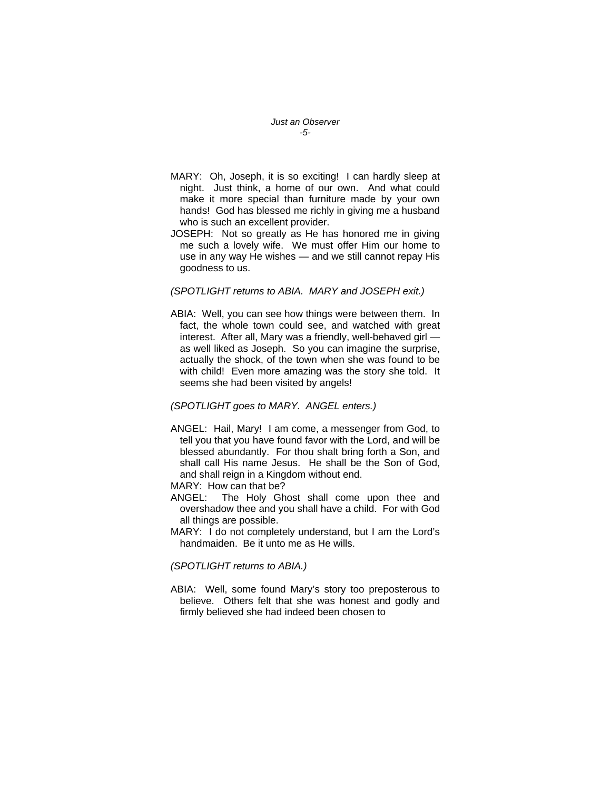*Just an Observer -5-*

- MARY: Oh, Joseph, it is so exciting! I can hardly sleep at night. Just think, a home of our own. And what could make it more special than furniture made by your own hands! God has blessed me richly in giving me a husband who is such an excellent provider.
- JOSEPH: Not so greatly as He has honored me in giving me such a lovely wife. We must offer Him our home to use in any way He wishes — and we still cannot repay His goodness to us.

#### *(SPOTLIGHT returns to ABIA. MARY and JOSEPH exit.)*

ABIA: Well, you can see how things were between them. In fact, the whole town could see, and watched with great interest. After all, Mary was a friendly, well-behaved girl as well liked as Joseph. So you can imagine the surprise, actually the shock, of the town when she was found to be with child! Even more amazing was the story she told. It seems she had been visited by angels!

#### *(SPOTLIGHT goes to MARY. ANGEL enters.)*

- ANGEL: Hail, Mary! I am come, a messenger from God, to tell you that you have found favor with the Lord, and will be blessed abundantly. For thou shalt bring forth a Son, and shall call His name Jesus. He shall be the Son of God, and shall reign in a Kingdom without end.
- MARY: How can that be?
- ANGEL: The Holy Ghost shall come upon thee and overshadow thee and you shall have a child. For with God all things are possible.
- MARY: I do not completely understand, but I am the Lord's handmaiden. Be it unto me as He wills.

*(SPOTLIGHT returns to ABIA.)* 

ABIA: Well, some found Mary's story too preposterous to believe. Others felt that she was honest and godly and firmly believed she had indeed been chosen to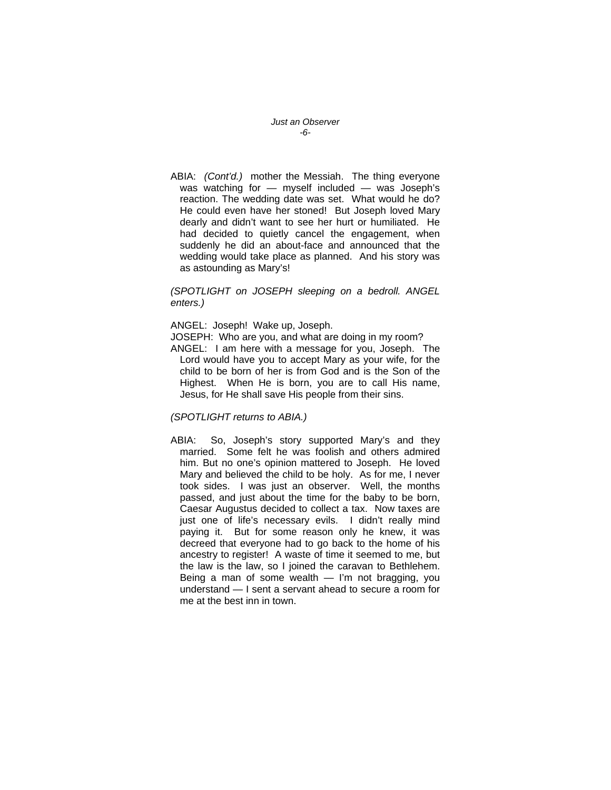*Just an Observer -6-*

ABIA: *(Cont'd.)* mother the Messiah. The thing everyone was watching for — myself included — was Joseph's reaction. The wedding date was set. What would he do? He could even have her stoned! But Joseph loved Mary dearly and didn't want to see her hurt or humiliated. He had decided to quietly cancel the engagement, when suddenly he did an about-face and announced that the wedding would take place as planned. And his story was as astounding as Mary's!

*(SPOTLIGHT on JOSEPH sleeping on a bedroll. ANGEL enters.)* 

ANGEL: Joseph! Wake up, Joseph.

JOSEPH: Who are you, and what are doing in my room?

ANGEL: I am here with a message for you, Joseph. The Lord would have you to accept Mary as your wife, for the child to be born of her is from God and is the Son of the Highest. When He is born, you are to call His name, Jesus, for He shall save His people from their sins.

# *(SPOTLIGHT returns to ABIA.)*

ABIA: So, Joseph's story supported Mary's and they married. Some felt he was foolish and others admired him. But no one's opinion mattered to Joseph. He loved Mary and believed the child to be holy. As for me, I never took sides. I was just an observer. Well, the months passed, and just about the time for the baby to be born, Caesar Augustus decided to collect a tax. Now taxes are just one of life's necessary evils. I didn't really mind paying it. But for some reason only he knew, it was decreed that everyone had to go back to the home of his ancestry to register! A waste of time it seemed to me, but the law is the law, so I joined the caravan to Bethlehem. Being a man of some wealth — I'm not bragging, you understand — I sent a servant ahead to secure a room for me at the best inn in town.